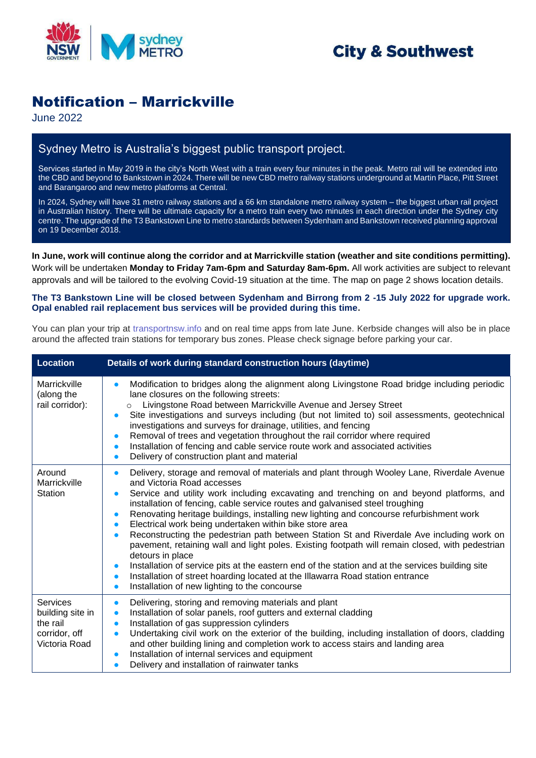

## **City & Southwest**

## Notification – Marrickville

June 2022

## Sydney Metro is Australia's biggest public transport project.

Services started in May 2019 in the city's North West with a train every four minutes in the peak. Metro rail will be extended into the CBD and beyond to Bankstown in 2024. There will be new CBD metro railway stations underground at Martin Place, Pitt Street and Barangaroo and new metro platforms at Central.

In 2024, Sydney will have 31 metro railway stations and a 66 km standalone metro railway system – the biggest urban rail project in Australian history. There will be ultimate capacity for a metro train every two minutes in each direction under the Sydney city centre. The upgrade of the T3 Bankstown Line to metro standards between Sydenham and Bankstown received planning approval on 19 December 2018.

**In June, work will continue along the corridor and at Marrickville station (weather and site conditions permitting).**  Work will be undertaken **Monday to Friday 7am-6pm and Saturday 8am-6pm.** All work activities are subject to relevant approvals and will be tailored to the evolving Covid-19 situation at the time. The map on page 2 shows location details.

**The T3 Bankstown Line will be closed between Sydenham and Birrong from 2 -15 July 2022 for upgrade work. Opal enabled rail replacement bus services will be provided during this time.** 

You can plan your trip at [transportnsw.info](https://transportnsw.info/) and on real time apps from late June. Kerbside changes will also be in place around the affected train stations for temporary bus zones. Please check signage before parking your car.

| <b>Location</b>                                                                   | Details of work during standard construction hours (daytime)                                                                                                                                                                                                                                                                                                                                                                                                                                                                                                                                                                                                                                                                                                                                                                                                                                                                                                                                                                  |
|-----------------------------------------------------------------------------------|-------------------------------------------------------------------------------------------------------------------------------------------------------------------------------------------------------------------------------------------------------------------------------------------------------------------------------------------------------------------------------------------------------------------------------------------------------------------------------------------------------------------------------------------------------------------------------------------------------------------------------------------------------------------------------------------------------------------------------------------------------------------------------------------------------------------------------------------------------------------------------------------------------------------------------------------------------------------------------------------------------------------------------|
| Marrickville<br>(along the<br>rail corridor):                                     | Modification to bridges along the alignment along Livingstone Road bridge including periodic<br>$\bullet$<br>lane closures on the following streets:<br>Livingstone Road between Marrickville Avenue and Jersey Street<br>$\circ$<br>Site investigations and surveys including (but not limited to) soil assessments, geotechnical<br>$\bullet$<br>investigations and surveys for drainage, utilities, and fencing<br>Removal of trees and vegetation throughout the rail corridor where required<br>$\bullet$<br>Installation of fencing and cable service route work and associated activities<br>$\bullet$<br>Delivery of construction plant and material<br>$\bullet$                                                                                                                                                                                                                                                                                                                                                     |
| Around<br>Marrickville<br><b>Station</b>                                          | Delivery, storage and removal of materials and plant through Wooley Lane, Riverdale Avenue<br>$\bullet$<br>and Victoria Road accesses<br>Service and utility work including excavating and trenching on and beyond platforms, and<br>$\bullet$<br>installation of fencing, cable service routes and galvanised steel troughing<br>Renovating heritage buildings, installing new lighting and concourse refurbishment work<br>$\bullet$<br>Electrical work being undertaken within bike store area<br>$\bullet$<br>Reconstructing the pedestrian path between Station St and Riverdale Ave including work on<br>$\bullet$<br>pavement, retaining wall and light poles. Existing footpath will remain closed, with pedestrian<br>detours in place<br>Installation of service pits at the eastern end of the station and at the services building site<br>$\bullet$<br>Installation of street hoarding located at the Illawarra Road station entrance<br>$\bullet$<br>Installation of new lighting to the concourse<br>$\bullet$ |
| <b>Services</b><br>building site in<br>the rail<br>corridor, off<br>Victoria Road | Delivering, storing and removing materials and plant<br>$\bullet$<br>Installation of solar panels, roof gutters and external cladding<br>$\bullet$<br>Installation of gas suppression cylinders<br>$\bullet$<br>Undertaking civil work on the exterior of the building, including installation of doors, cladding<br>$\bullet$<br>and other building lining and completion work to access stairs and landing area<br>Installation of internal services and equipment<br>$\bullet$<br>Delivery and installation of rainwater tanks<br>$\bullet$                                                                                                                                                                                                                                                                                                                                                                                                                                                                                |